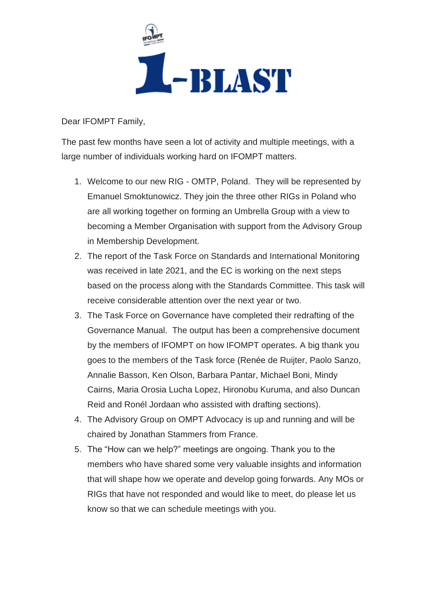

Dear IFOMPT Family,

The past few months have seen a lot of activity and multiple meetings, with a large number of individuals working hard on IFOMPT matters.

- 1. Welcome to our new RIG OMTP, Poland. They will be represented by Emanuel Smoktunowicz. They join the three other RIGs in Poland who are all working together on forming an Umbrella Group with a view to becoming a Member Organisation with support from the Advisory Group in Membership Development.
- 2. The report of the Task Force on Standards and International Monitoring was received in late 2021, and the EC is working on the next steps based on the process along with the Standards Committee. This task will receive considerable attention over the next year or two.
- 3. The Task Force on Governance have completed their redrafting of the Governance Manual. The output has been a comprehensive document by the members of IFOMPT on how IFOMPT operates. A big thank you goes to the members of the Task force (Renée de Ruijter, Paolo Sanzo, Annalie Basson, Ken Olson, Barbara Pantar, Michael Boni, Mindy Cairns, Maria Orosia Lucha Lopez, Hironobu Kuruma, and also Duncan Reid and Ronél Jordaan who assisted with drafting sections).
- 4. The Advisory Group on OMPT Advocacy is up and running and will be chaired by Jonathan Stammers from France.
- 5. The "How can we help?" meetings are ongoing. Thank you to the members who have shared some very valuable insights and information that will shape how we operate and develop going forwards. Any MOs or RIGs that have not responded and would like to meet, do please let us know so that we can schedule meetings with you.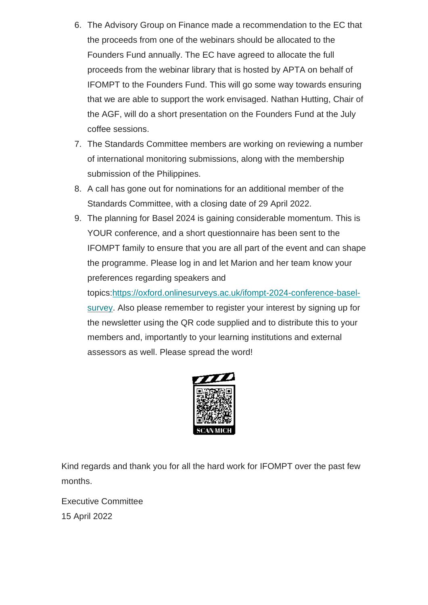- 6. The Advisory Group on Finance made a recommendation to the EC that the proceeds from one of the webinars should be allocated to the Founders Fund annually. The EC have agreed to allocate the full proceeds from the webinar library that is hosted by APTA on behalf of IFOMPT to the Founders Fund. This will go some way towards ensuring that we are able to support the work envisaged. Nathan Hutting, Chair of the AGF, will do a short presentation on the Founders Fund at the July coffee sessions.
- 7. The Standards Committee members are working on reviewing a number of international monitoring submissions, along with the membership submission of the Philippines.
- 8. A call has gone out for nominations for an additional member of the Standards Committee, with a closing date of 29 April 2022.
- 9. The planning for Basel 2024 is gaining considerable momentum. This is YOUR conference, and a short questionnaire has been sent to the IFOMPT family to ensure that you are all part of the event and can shape the programme. Please log in and let Marion and her team know your preferences regarding speakers and

topics[:https://oxford.onlinesurveys.ac.uk/ifompt-2024-conference-basel](https://ifompt.us9.list-manage.com/track/click?u=ed14e736fb5d40a91476d4fb4&id=049e89b104&e=716c6fa8cd)[survey.](https://ifompt.us9.list-manage.com/track/click?u=ed14e736fb5d40a91476d4fb4&id=049e89b104&e=716c6fa8cd) Also please remember to register your interest by signing up for the newsletter using the QR code supplied and to distribute this to your members and, importantly to your learning institutions and external assessors as well. Please spread the word!



Kind regards and thank you for all the hard work for IFOMPT over the past few months.

Executive Committee 15 April 2022